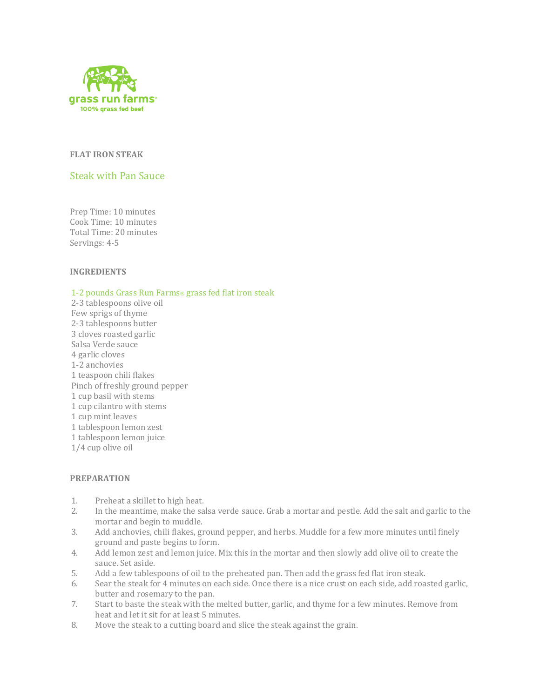

## **FLAT IRON STEAK**

# Steak with Pan Sauce

Prep Time: 10 minutes Cook Time: 10 minutes Total Time: 20 minutes Servings: 4-5

### **INGREDIENTS**

#### 1-2 pounds Grass Run Farms® grass fed flat iron steak

2-3 tablespoons olive oil Few sprigs of thyme 2-3 tablespoons butter 3 cloves roasted garlic Salsa Verde sauce 4 garlic cloves 1-2 anchovies 1 teaspoon chili flakes Pinch of freshly ground pepper 1 cup basil with stems 1 cup cilantro with stems 1 cup mint leaves 1 tablespoon lemon zest 1 tablespoon lemon juice 1/4 cup olive oil

### **PREPARATION**

- 1. Preheat a skillet to high heat.
- 2. In the meantime, make the salsa verde sauce. Grab a mortar and pestle. Add the salt and garlic to the mortar and begin to muddle.
- 3. Add anchovies, chili flakes, ground pepper, and herbs. Muddle for a few more minutes until finely ground and paste begins to form.
- 4. Add lemon zest and lemon juice. Mix this in the mortar and then slowly add olive oil to create the sauce. Set aside.
- 5. Add a few tablespoons of oil to the preheated pan. Then add the grass fed flat iron steak.
- 6. Sear the steak for 4 minutes on each side. Once there is a nice crust on each side, add roasted garlic, butter and rosemary to the pan.
- 7. Start to baste the steak with the melted butter, garlic, and thyme for a few minutes. Remove from heat and let it sit for at least 5 minutes.
- 8. Move the steak to a cutting board and slice the steak against the grain.